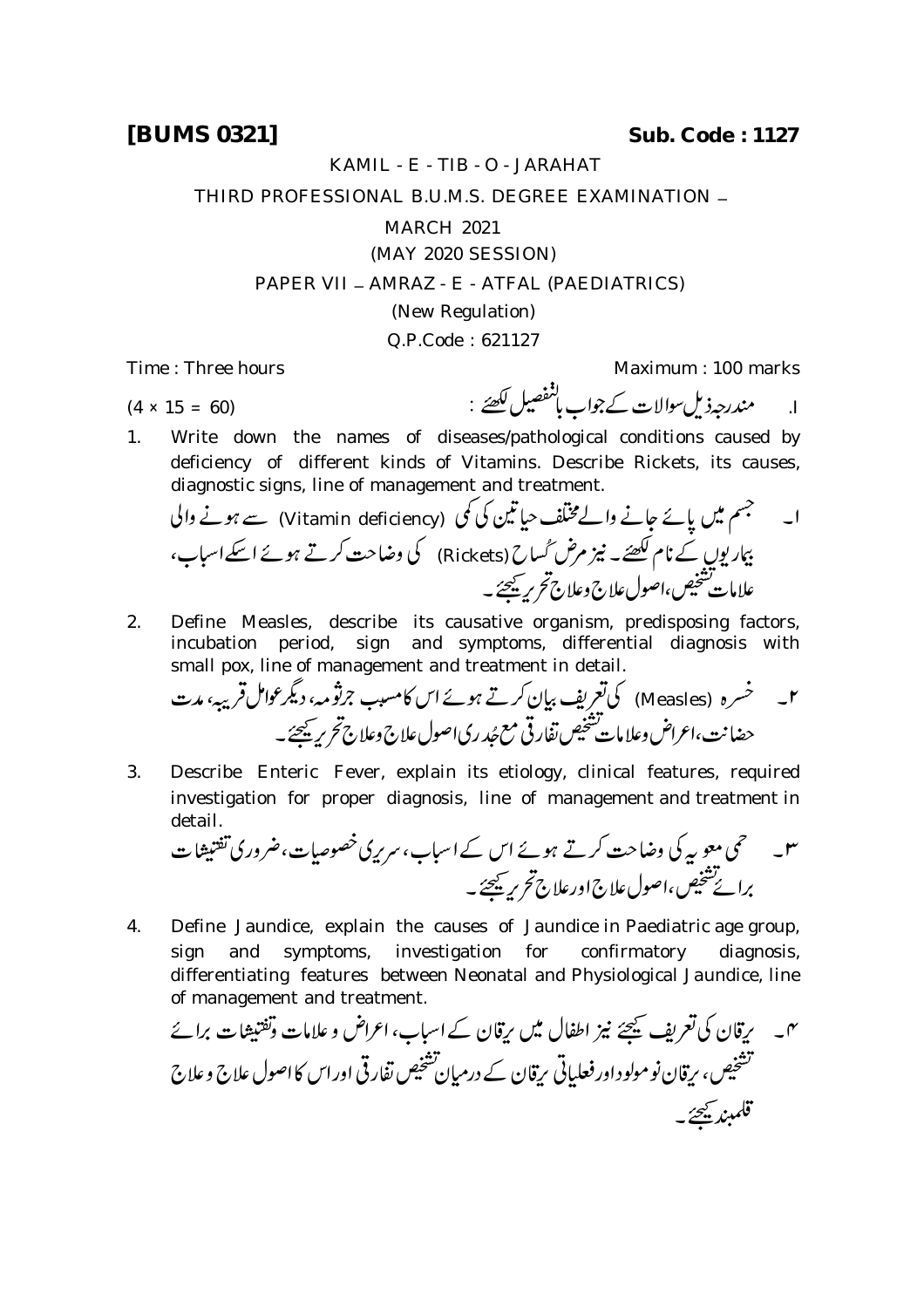KAMIL - E - TIB - O - JARAHAT

THIRD PROFESSIONAL B.U.M.S. DEGREE EXAMINATION \_

MARCH 2021

(MAY 2020 SESSION)

PAPER VII - AMRAZ - E - ATFAL (PAEDIATRICS)

(New Regulation)

Q.P.Code : 621127

Time : Three hours Maximum : 100 marks

ا. مندرجه ذيل سوالات كے جواب باشفصيل لكھئے : (4 × 15 = 60) (4 × 15 = 60)

1. Write down the names of diseases/pathological conditions caused by deficiency of different kinds of Vitamins. Describe Rickets, its causes, diagnostic signs, line of management and treatment.

 (Vitamin deficiency) (Rickets) 

2. Define Measles, describe its causative organism, predisposing factors, incubation period, sign and symptoms, differential diagnosis with small pox, line of management and treatment in detail.

 (Measles) 

3. Describe Enteric Fever, explain its etiology, clinical features, required investigation for proper diagnosis, line of management and treatment in

detail. 

4. Define Jaundice, explain the causes of Jaundice in Paediatric age group, sign and symptoms, investigation for confirmatory diagnosis, differentiating features between Neonatal and Physiological Jaundice, line

of management and treatment.